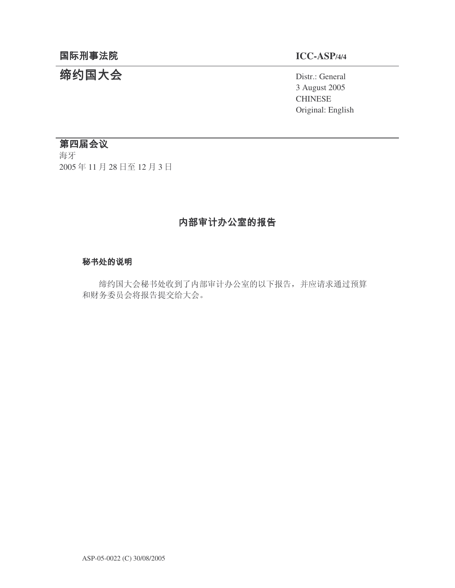## 国际刑事法院

# 缔约国大会

## **ICC-ASP/4/4**

Distr.: General 3 August 2005 CHINESE Original: English

## 第四届会议

海牙 2005年11月28日至12月3日

## 内部审计办公室的报告

## 秘书处的说明

缔约国大会秘书处收到了内部审计办公室的以下报告,并应请求通过预算 和财务委员会将报告提交给大会。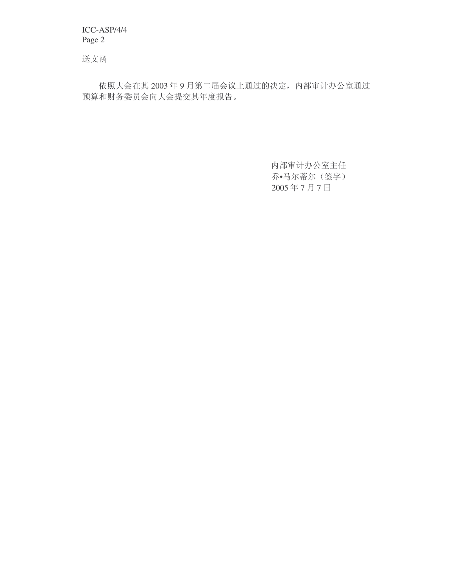送文函

依照大会在其 2003年9月第二届会议上通过的决定, 内部审计办公室通过 预算和财务委员会向大会提交其年度报告。

> 内部审计办公室主任 乔•马尔蒂尔(签字) 2005年7月7日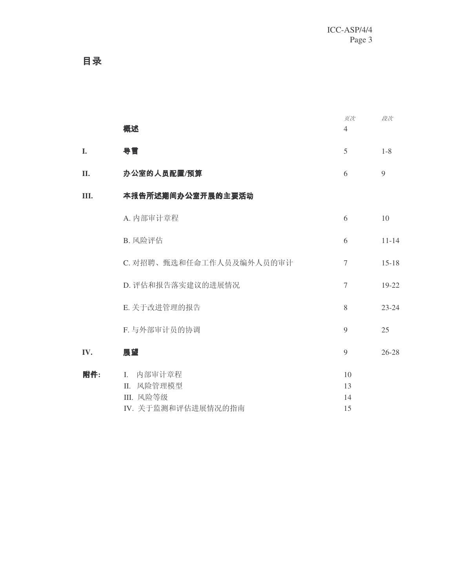目录

|     | 概述                                                       | 页次<br>$\overline{4}$ | 段次        |
|-----|----------------------------------------------------------|----------------------|-----------|
| I.  | 导言                                                       | 5                    | $1 - 8$   |
| II. | 办公室的人员配置/预算                                              | 6                    | 9         |
| Ш.  | 本报告所述期间办公室开展的主要活动                                        |                      |           |
|     | A. 内部审计章程                                                | 6                    | 10        |
|     | B. 风险评估                                                  | 6                    | $11 - 14$ |
|     | C. 对招聘、甄选和任命工作人员及编外人员的审计                                 | $\overline{7}$       | $15 - 18$ |
|     | D. 评估和报告落实建议的进展情况                                        | $\overline{7}$       | 19-22     |
|     | E. 关于改进管理的报告                                             | 8                    | $23 - 24$ |
|     | F. 与外部审计员的协调                                             | 9                    | 25        |
| IV. | 展望                                                       | 9                    | $26 - 28$ |
| 附件: | I. 内部审计章程<br>II. 风险管理模型<br>Ⅲ. 风险等级<br>IV. 关于监测和评估进展情况的指南 | 10<br>13<br>14<br>15 |           |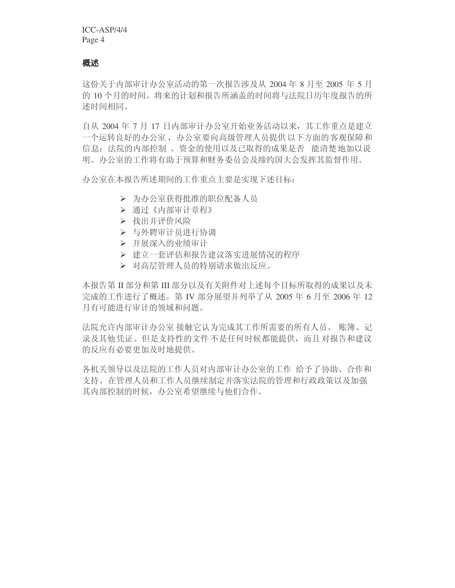## 概述

这份关于内部审计办公室活动的第一次报告涉及从 2004 年 8 月至 2005 年 5 月 的 10 个月的时间。将来的计划和报告所涵盖的时间将与法院日历年度报告的所 述时间相同。

自从 2004 年 7 月 17 日内部审计办公室开始业务活动以来, 其工作重点是建立 一个运转良好的办公室, 办公室要向高级管理人员提供以下方面的客观保障和 信息: 法院的内部控制、资金的使用以及已取得的成果是否 能清楚地加以说 明。办公室的工作将有助于预算和财务委员会及缔约国大会发挥其监督作用。

办公室在本报告所述期间的工作重点主要是实现下述目标:

- > 为办公室获得批准的职位配备人员
- ▶ 通过《内部审计章程》
- > 找出并评价风险
- > 与外聘审计员进行协调
- ▶ 开展深入的业绩审计
- > 建立一套评估和报告建议落实讲展情况的程序
- ▶ 对高层管理人员的特别请求做出反应。

本报告第 II 部分和第 III 部分以及有关附件对上述每个目标所取得的成果以及未 完成的工作进行了概述。第 IV 部分展望并列举了从 2005 年 6 月至 2006 年 12 月有可能讲行审计的领域和问题。

法院允许内部审计办公室接触它认为完成其工作所需要的所有人员、账簿、记 录及其他凭证。但是支持性的文件不是任何时候都能提供,而且对报告和建议 的反应有必要更加及时地提供。

各机关领导以及法院的工作人员对内部审计办公室的工作 给予了协助、合作和 支持。在管理人员和工作人员继续制定并落实法院的管理和行政政策以及加强 其内部控制的时候, 办公室希望继续与他们合作。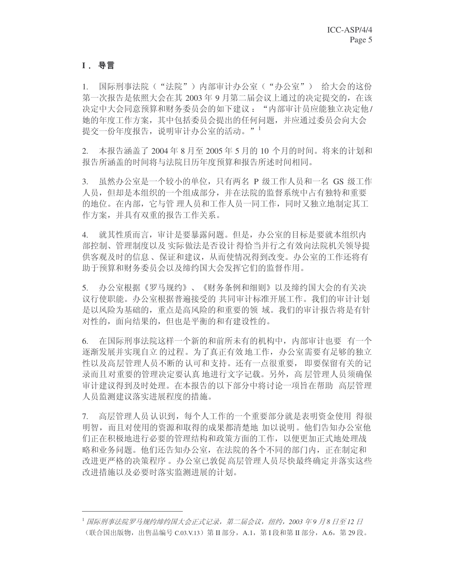## **I**

1. 国际刑事法院("法院")内部审计办公室("办公室") 给大会的这份 第一次报告是依照大会在其 2003 年 9 月第二届会议上通过的决定提交的, 在该 决定中大会同意预算和财务委员会的如下建议: "内部审计员应能独立决定他/ 她的年度工作方案,其中包括委员会提出的任何问题,并应通过委员会向大会 提交一份年度报告, 说明审计办公室的活动。"<sup>1</sup>

2. 本报告涵盖了 2004年8月至 2005年5月的 10 个月的时间。将来的计划和 报告所涵盖的时间将与法院日历年度预算和报告所述时间相同。

3. 虽然办公室是一个较小的单位,只有两名 P 级工作人员和一名 GS 级工作 人员,但却是本组织的一个组成部分,并在法院的监督系统中占有独特和重要 的地位。在内部, 它与管理人员和工作人员一同工作, 同时又独立地制定其工 作方案,并具有双重的报告工作关系。

4. 就其性质而言, 审计是要暴露问题。但是, 办公室的目标是要就本组织内 部控制、管理制度以及实际做法是否设计得恰当并行之有效向法院机关领导提 供客观及时的信息、保证和建议, 从而使情况得到改变。办公室的工作还将有 助于预算和财务委员会以及缔约国大会发挥它们的监督作用。

5. 办公室根据《罗马规约》、《财务条例和细则》以及缔约国大会的有关决 议行使职能。办公室根据普遍接受的 共同审计标准开展工作。我们的审计计划 是以风险为基础的, 重点是高风险的和重要的领 域。我们的审计报告将是有针 对性的, 面向结果的, 但也是平衡的和有建设性的。

6. 在国际刑事法院这样一个新的和前所未有的机构中, 内部审计也要 有一个 逐渐发展并实现自立的过程。为了真正有效地工作,办公室需要有足够的独立 性以及高层管理人员不断的认可和支持。还有一点很重要, 即要保留有关的记 录而且对重要的管理决定要认真 地进行文字记载。另外,高 层管理人员须确保 审计建议得到及时处理。在本报告的以下部分中将讨论一项旨在帮助 高层管理 人员监测建议落实进展程度的措施。

7. 高层管理人员认识到,每个人工作的一个重要部分就是表明资金使用 得很 明智, 而且对使用的资源和取得的成果都清楚地 加以说明。他们告知办公室他 们正在积极地进行必要的管理结构和政策方面的工作, 以便更加正式地处理战 略和业务问题。他们还告知办公室, 在法院的各个不同的部门内, 正在制定和 改进更严格的决策程序。办公室已敦促高层管理人员尽快最终确定并落实这些 改讲措施以及必要时落实监测讲展的计划。

<sup>1</sup> 国际刑事法院罗马规约缔约国大会正式记录,第二届会议,纽约,2003 年9 月8 日至 12 日 (联合国出版物,出售品编号 C.03.V.13) 第 II 部分, A.1, 第 I 段和第 II 部分, A.6, 第 29 段。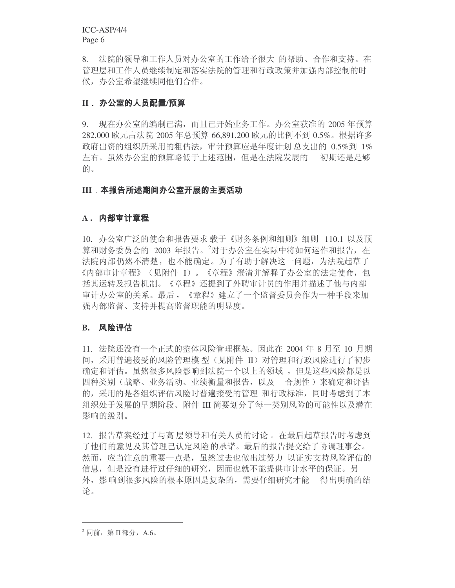8. 法院的领导和工作人员对办公室的工作给予很大 的帮助、合作和支持。在 管理层和工作人员继续制定和落实法院的管理和行政政策并加强内部控制的时 候, 办公室希望继续同他们合作。

## **II** . 办公室的人员配置/预算

9. 现在办公室的编制已满,而且已开始业务工作。办公室获准的 2005 年预算 282,000 欧元占法院 2005 年总预算 66,891,200 欧元的比例不到 0.5%。根据许多 政府出资的组织所采用的粗估法, 审计预算应是年度计划 总支出的 0.5%到 1% 左右。虽然办公室的预算略低于上述范围,但是在法院发展的 初期还是足够 的。

## **III** 本报告所述期间办公室开展的主要活动

### **A .**

10. 办公室广泛的使命和报告要求载于《财务条例和细则》细则 110.1 以及预 算和财务委员会的 2003 年报告。<sup>2</sup>对于办公室在实际中将如何运作和报告, 在 法院内部仍然不清楚, 也不能确定。为了有助于解决这一问题, 为法院起草了 《内部审计章程》(见附件 I)。《章程》澄清并解释了办公室的法定使命,包 括其运转及报告机制。《章程》还提到了外聘审计员的作用并描述了他与内部 审计办公室的关系。最后,《章程》建立了一个监督委员会作为一种手段来加 强内部监督、支持并提高监督职能的明显度。

### **B.**

11. 法院还没有一个正式的整体风险管理框架。因此在 2004 年 8 月至 10 月期 间,采用普遍接受的风险管理模型(见附件 II)对管理和行政风险进行了初步 确定和评估。虽然很多风险影响到法院一个以上的领域 ,但是这些风险都是以 四种类别(战略、业务活动、业绩衡量和报告, 以及 合规性) 来确定和评估 的,采用的是各组织评估风险时普遍接受的管理 和行政标准,同时考虑到了本 组织处于发展的早期阶段。附件 III 简要划分了每一类别风险的可能性以及潜在 影响的级别。

12. 报告草案经过了与高层领导和有关人员的讨论。在最后起草报告时考虑到 了他们的意见及其管理已认定风险的承诺。最后的报告提交给了协调理事会。 然而, 应当注意的重要一点是, 虽然过去也做出过努力 以证实支持风险评估的 信息, 但是没有进行过仔细的研究, 因而也就不能提供审计水平的保证。另 外,影 响到很多风险的根本原因是复杂的,需要仔细研究才能 有得出明确的结 论。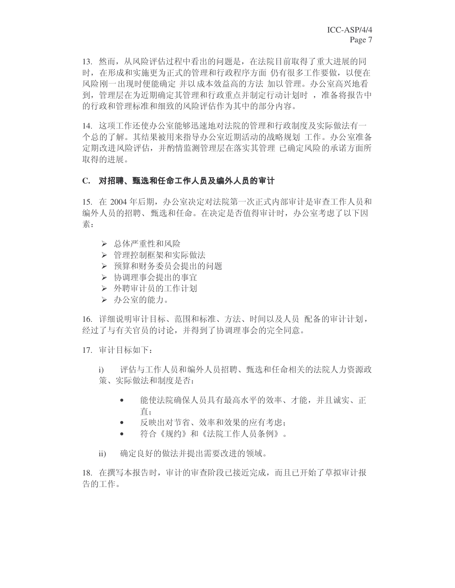13. 然而,从风险评估过程中看出的问题是,在法院目前取得了重大进展的同 时,在形成和实施更为正式的管理和行政程序方面 仍有很多工作要做,以便在 风险刚一出现时便能确定 并以成本效益高的方法 加以管理。办公室高兴地看 到, 管理层在为近期确定其管理和行政重点并制定行动计划时, 准备将报告中 的行政和管理标准和细致的风险评估作为其中的部分内容。

14. 这项工作还使办公室能够迅速地对法院的管理和行政制度及实际做法有一 个总的了解。其结果被用来指导办公室近期活动的战略规划 工作。办公室准备 定期改进风险评估,并酌情监测管理层在落实其管理 己确定风险的承诺方面所 取得的进展。

## C. 对招聘、甄选和任命工作人员及编外人员的审计

15. 在 2004 年后期, 办公室决定对法院第一次正式内部审计是审查工作人员和 编外人员的招聘、甄选和任命。在决定是否值得审计时,办公室考虑了以下因 素:

- ▶ 总体严重性和风险
- > 管理控制框架和实际做法
- > 预算和财务委员会提出的问题
- > 协调理事会提出的事宜
- ▶ 外聘审计员的工作计划
- > 办公室的能力。

16. 详细说明审计目标、范围和标准、方法、时间以及人员 配备的审计计划, 经过了与有关官员的讨论,并得到了协调理事会的完全同意。

17. 审计目标如下:

- i) 评估与工作人员和编外人员招聘、甄选和任命相关的法院人力资源政 策、实际做法和制度是否:
	- 能使法院确保人员具有最高水平的效率、才能,并且诚实、正 直:
	- 反映出对节省、效率和效果的应有考虑:
	- 符合《规约》和《法院工作人员条例》。
- ii) 确定良好的做法并提出需要改进的领域。

18. 在撰写本报告时,审计的审查阶段已接近完成,而且已开始了草拟审计报 告的工作。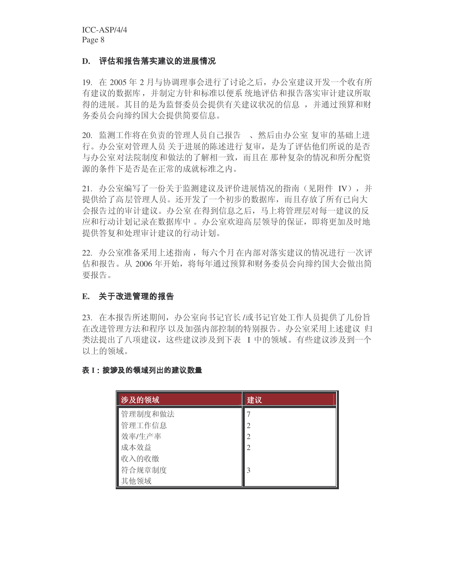## D. 评估和报告落实建议的进展情况

19. 在 2005 年 2 月与协调理事会进行了讨论之后, 办公室建议开发一个收有所 有建议的数据库,并制定方针和标准以便系统地评估和报告落实审计建议所取 得的进展。其目的是为监督委员会提供有关建议状况的信息 , 并通过预算和财 务委员会向缔约国大会提供简要信息。

20. 监测工作将在负责的管理人员自己报告 、然后由办公室复审的基础上进 行。办公室对管理人员 关于进展的陈述进行 复审, 是为了评估他们所说的是否 与办公室对法院制度和做法的了解相一致,而且在那种复杂的情况和所分配资 源的条件下是否是在正常的成就标准之内。

21. 办公室编写了一份关于监测建议及评价进展情况的指南(见附件 IV), 并 提供给了高层管理人员。还开发了一个初步的数据库,而且存放了所有已向大 会报告过的审计建议。办公室在得到信息之后,马上将管理层对每一建议的反 应和行动计划记录在数据库中。 办公室欢迎高 层领导的保证,即将更加及时地 提供答复和处理审计建议的行动计划。

22. 办公室准备采用上述指南, 每六个月在内部对落实建议的情况进行一次评 估和报告。从2006年开始,将每年通过预算和财务委员会向缔约国大会做出简 要报告。

## **E.**

23. 在本报告所述期间,办公室向书记官长/或书记官处工作人员提供了几份旨 在改进管理方法和程序 以及加强内部控制的特别报告。办公室采用上述建议 归 类法提出了八项建议, 这些建议涉及到下表 I 中的领域。有些建议涉及到一个 以上的领域。

#### 表 I:按涉及的领域列出的建议数量 /01/01/02 12:00:00 and 0.00 minutes and 0.00 minutes and 0.00 minutes and 0.00 minutes and 0.00 minutes and 0.0

| 涉及的领域   | 建议             |
|---------|----------------|
| 管理制度和做法 |                |
| 管理工作信息  | 2              |
| 效率/生产率  | $\overline{2}$ |
| 成本效益    | 2              |
| 收入的收缴   |                |
| 符合规章制度  | 3              |
| 其他领域    |                |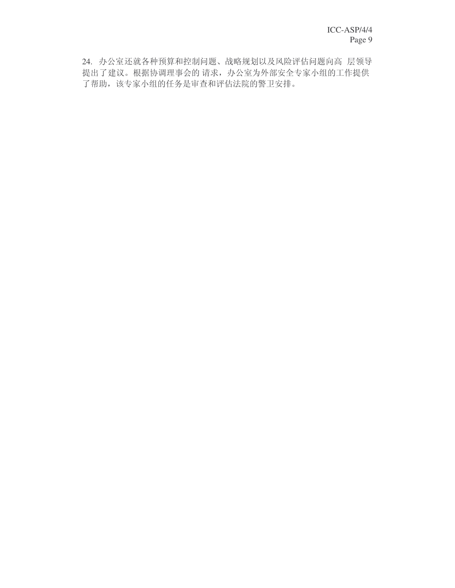24. 办公室还就各种预算和控制问题、战略规划以及风险评估问题向高 层领导 提出了建议。根据协调理事会的请求,办公室为外部安全专家小组的工作提供 了帮助,该专家小组的任务是审查和评估法院的警卫安排。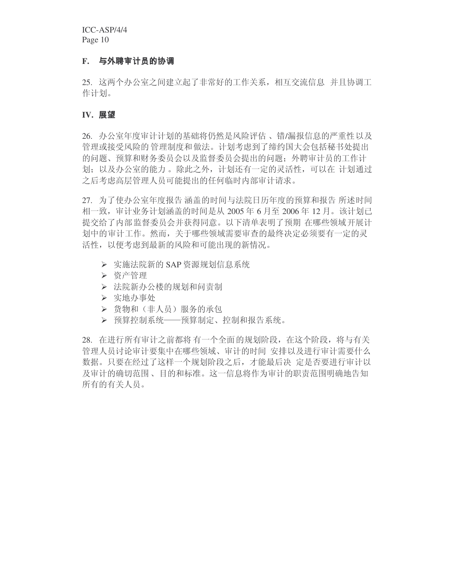## **F.**

25. 这两个办公室之间建立起了非常好的工作关系,相互交流信息 并且协调工 作计划。

## **IV.**

26. 办公室年度审计计划的基础将仍然是风险评估、错/漏报信息的严重性以及 管理或接受风险的管理制度和做法。计划考虑到了缔约国大会包括秘书处提出 的问题、预算和财务委员会以及监督委员会提出的问题: 外聘审计员的工作计 划;以及办公室的能力。除此之外,计划还有一定的灵活性,可以在 计划通过 之后考虑高层管理人员可能提出的任何临时内部审计请求。

27. 为了使办公室年度报告 涵盖的时间与法院日历年度的预算和报告 所述时间 相一致, 审计业务计划涵盖的时间是从 2005 年 6 月至 2006 年 12 月。该计划已 提交给了内部监督委员会并获得同意。以下清单表明了预期 在哪些领域开展计 划中的审计工作。然而,关于哪些领域需要审查的最终决定必须要有一定的灵 活性, 以便考虑到最新的风险和可能出现的新情况。

- ▶ 实施法院新的 SAP 资源规划信息系统
- ▶ 资产管理
- ▶ 法院新办公楼的规划和问责制
- > 实地办事处
- ▶ 货物和(非人员)服务的承包
- ▶ 预算控制系统——预算制定、控制和报告系统。

28. 在进行所有审计之前都将有一个全面的规划阶段, 在这个阶段, 将与有关 管理人员讨论审计要集中在哪些领域、审计的时间 安排以及进行审计需要什么 数据。只要在经过了这样一个规划阶段之后, 才能最后决 定是否要进行审计以 及审计的确切范围、目的和标准。这一信息将作为审计的职责范围明确地告知 所有的有关人员。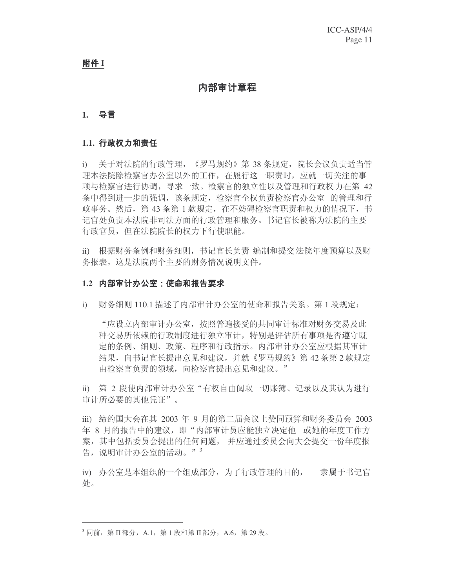**附件 I** 

## 内部审计章程

## **1.**

## **1.1.**

i) 关于对法院的行政管理, 《罗马规约》第 38 条规定, 院长会议负责话当管 理本法院除检察官办公室以外的工作, 在履行这一职责时, 应就一切关注的事 项与检察官进行协调,寻求一致。 检察官的独立性以及管理和行政权 力在第 42 条中得到进一步的强调,该条规定,检察官全权负责检察官办公室 的管理和行 政事务。然后,第43条第1款规定,在不妨碍检察官职责和权力的情况下,书 记官处负责本法院非司法方面的行政管理和服务。书记官长被称为法院的主要 行政官员, 但在法院院长的权力下行使职能。

ii) 根据财务条例和财务细则, 书记官长负责 编制和提交法院年度预算以及财 务报表, 这是法院两个主要的财务情况说明文件。

## 1.2 内部审计办公室:使命和报告要求

i) 财务细则 110.1 描述了内部审计办公室的使命和报告关系。第1段规定:

"应设立内部审计办公室, 按照普遍接受的共同审计标准对财务交易及此 种交易所依赖的行政制度进行独立审计,特别是评估所有事项是否遵守既 定的条例、细则、政策、程序和行政指示。内部审计办公室应根据其审计 结果, 向书记官长提出意见和建议, 并就《罗马规约》第42条第2款规定 由检察官负责的领域, 向检察官提出意见和建议。"

ii) 第 2 段使内部审计办公室"有权自由阅取一切账簿、记录以及其认为进行 审计所必要的其他凭证"。

iii) 缔约国大会在其 2003 年 9 月的第二届会议上赞同预算和财务委员会 2003 年 8 月的报告中的建议,即"内部审计员应能独立决定他 或她的年度工作方 案, 其中包括委员会提出的任何问题, 并应通过委员会向大会提交一份年度报 告, 说明审计办公室的活动。"

iv) 办公室是本组织的一个组成部分, 为了行政管理的目的, 隶属于书记官 处。

 $^3$  同前, 第 II 部分, A.1, 第 1 段和第 II 部分, A.6, 第 29 段。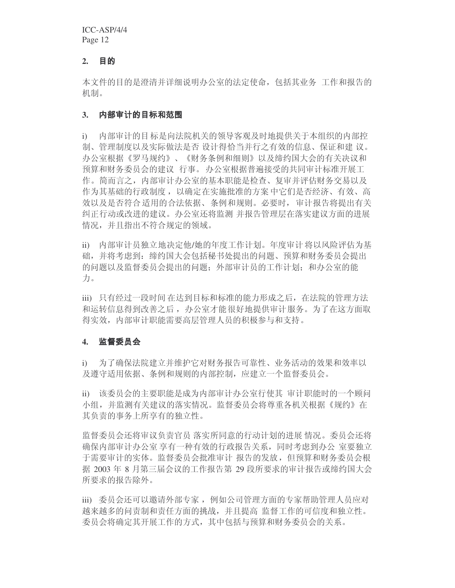#### **2.** 目的

本文件的目的是澄清并详细说明办公室的法定使命, 包括其业务 工作和报告的 机制。

#### 内部审计的目标和范围 **3.**

i) 内部审计的目标是向法院机关的领导客观及时地提供关于本组织的内部控 制、管理制度以及实际做法是否 设计得恰当并行之有效的信息、保证和建 议。 办公室根据《罗马规约》、《财务条例和细则》以及缔约国大会的有关决议和 预算和财务委员会的建议 行事。办公室根据普遍接受的共同审计标准开展工 作。简而言之, 内部审计办公室的基本职能是检查、复审并评估财务交易以及 作为其基础的行政制度, 以确定在实施批准的方案 中它们是否经济、有效、高 效以及是否符合适用的合法依据、条例和规则。必要时, 审计报告将提出有关 纠正行动或改进的建议。办公室还将监测 并报告管理层在落实建议方面的进展 情况,并且指出不符合规定的领域。

ii) 内部审计员独立地决定他/她的年度工作计划。年度审计将以风险评估为基 础,并将考虑到:缔约国大会包括秘书处提出的问题、预算和财务委员会提出 的问题以及监督委员会提出的问题: 外部审计员的工作计划: 和办公室的能 力。

iii) 只有经过一段时间 在达到目标和标准的能力形成之后, 在法院的管理方法 和运转信息得到改善之后, 办公室才能很好地提供审计服务。为了在这方面取 得实效, 内部审计职能需要高层管理人员的积极参与和支持。

## **4.**

i) 为了确保法院建立并维护它对财务报告可靠性、业务活动的效果和效率以 及遵守适用依据、条例和规则的内部控制, 应建立一个监督委员会。

ii) 该委员会的主要职能是成为内部审计办公室行使其 审计职能时的一个顾问 小组,并监测有关建议的落实情况。监督委员会将尊重各机关根据《规约》在 其负责的事务上所享有的独立性。

监督委员会还将审议负责官员 落实所同意的行动计划的进展 情况。委员会还将 确保内部审计办公室 享有一种有效的行政报告关系,同时考虑到办公 室要独立 于需要审计的实体。监督委员会批准审计 报告的发放, 但预算和财务委员会根 据 2003 年 8 月第三届会议的工作报告第 29 段所要求的审计报告或缔约国大会 所要求的报告除外。

iii) 委员会还可以邀请外部专家, 例如公司管理方面的专家帮助管理人员应对 越来越多的问责制和责任方面的挑战,并且提高 监督工作的可信度和独立性。 委员会将确定其开展工作的方式, 其中包括与预算和财务委员会的关系。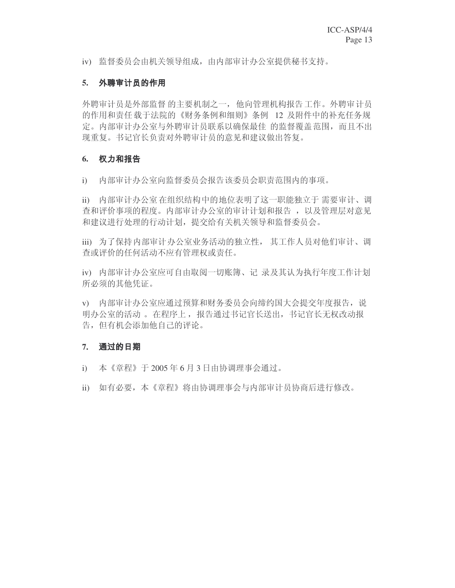iv) 监督委员会由机关领导组成, 由内部审计办公室提供秘书支持。

## **5.**

外聘审计员是外部监督 的主要机制之一, 他向管理机构报告工作。外聘审计员 的作用和责任载于法院的《财务条例和细则》条例 12 及附件中的补充任务规 定。内部审计办公室与外聘审计员联系以确保最佳 的监督覆盖范围, 而且不出 现重复。书记官长负责对外聘审计员的意见和建议做出答复。

## **6.**

i) 内部审计办公室向监督委员会报告该委员会职责范围内的事项。

ii) 内部审计办公室在组织结构中的地位表明了这一职能独立于 需要审计、调 查和评价事项的程度。内部审计办公室的审计计划和报告, 以及管理层对意见 和建议进行处理的行动计划, 提交给有关机关领导和监督委员会。

iii) 为了保持内部审计办公室业务活动的独立性, 其工作人员对他们审计、调 查或评价的任何活动不应有管理权或责任。

iv) 内部审计办公室应可自由取阅一切账簿、记 录及其认为执行年度工作计划 所必须的其他凭证。

v) 内部审计办公室应通过预算和财务委员会向缔约国大会提交年度报告,说 明办公室的活动。 在程序上, 报告通过书记官长送出, 书记官长无权改动报 告, 但有机会添加他自己的评论。

## **7.**

i) 本《章程》于2005年6月3日由协调理事会通过。

ii) 如有必要,本《章程》将由协调理事会与内部审计员协商后进行修改。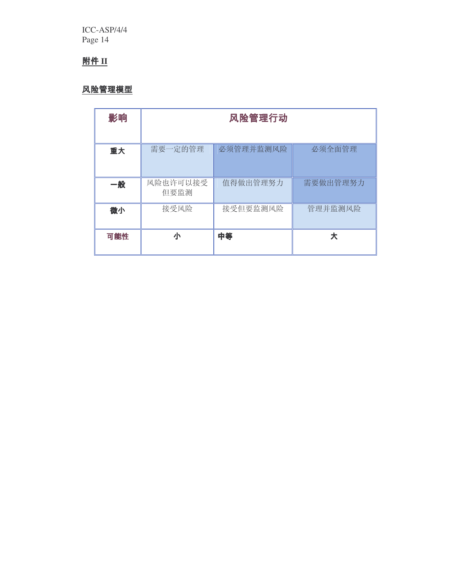## **附件 II**

## 风险管理模型

| 影响  | 风险管理行动           |           |          |  |
|-----|------------------|-----------|----------|--|
| 重大  | 需要一定的管理          | 必须管理并监测风险 | 必须全面管理   |  |
|     |                  |           |          |  |
| 一般  | 风险也许可以接受<br>但要监测 | 值得做出管理努力  | 需要做出管理努力 |  |
| 微小  | 接受风险             | 接受但要监测风险  | 管理并监测风险  |  |
| 可能性 | 小                | 中等        | 大        |  |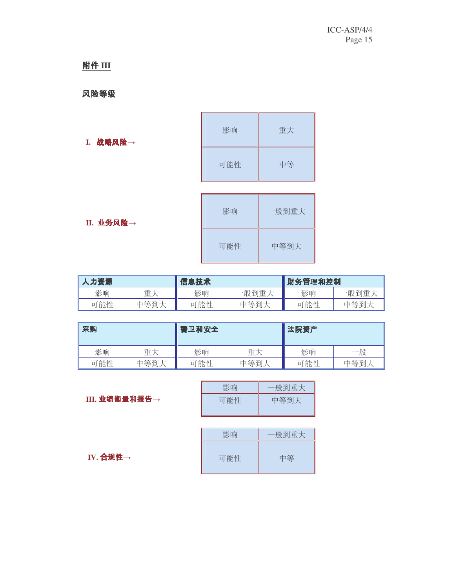# **附件 III**

## 风险等级

| 战略风险→<br>I. | 影响  | 重大 |
|-------------|-----|----|
|             | 可能性 | 中等 |
|             |     |    |

| 影响  | 一般到重大 |
|-----|-------|
| 可能性 | 中等到大  |

II. 业务<mark>风险→</mark>

| 人力资源 |      | 信息技术 |       | 财务管理和控制 |       |
|------|------|------|-------|---------|-------|
| 影响   | 重大   | 影响   | 一般到重大 | 影响      | 一般到重大 |
| 可能性  | 中等到大 | 可能性  | 中等到大  | 可能性     | 中等到大  |

| 采购  |      | 書卫和安全 | ▌法院资产 |     |      |
|-----|------|-------|-------|-----|------|
| 影响  | 重大   | 影响    | 重大    | 影响  | 一般   |
| 可能性 | 中等到大 | 可能性   | 中等到大  | 可能性 | 中等到大 |

|            | 影响  | 一般到重大 |
|------------|-----|-------|
| Ⅲ.业绩衡量和报告→ | 可能性 | 中等到大  |

|                       | 影响  | 一般到重大 |
|-----------------------|-----|-------|
| IV. 合规性 $\rightarrow$ | 可能性 | 中等    |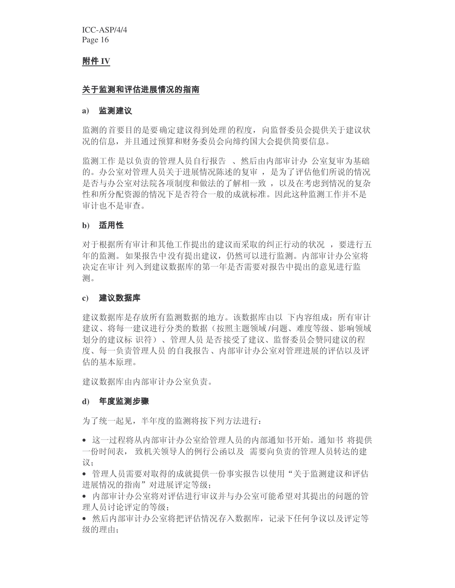## 附件 IV

### 关于监测和评估进展情况的指南

#### **a)**

监测的首要目的是要确定建议得到处理的程度, 向监督委员会提供关于建议状 况的信息, 并且通过预算和财务委员会向缔约国大会提供简要信息。

监测工作 是以负责的管理人员自行报告、然后由内部审计办 公室复审为基础 的。办公室对管理人员关于进展情况陈述的复审, 是为了评估他们所说的情况 是否与办公室对法院各项制度和做法的了解相一致, 以及在考虑到情况的复杂 性和所分配资源的情况下是否符合一般的成就标准。因此这种监测工作并不是 审计也不是审查。

## **b)** 适用性

对于根据所有审计和其他工作提出的建议而采取的纠正行动的状况, 要进行五 年的监测。如果报告中没有提出建议,仍然可以进行监测。内部审计办公室将 决定在审计 列入到建议数据库的第一年是否需要对报告中提出的意见进行监 测。

#### **c)**

建议数据库是存放所有监测数据的地方。该数据库由以 下内容组成: 所有审计 建议、将每一建议进行分类的数据(按照主题领域/问题、难度等级、影响领域 划分的建议标 识符)、管理人员是否接受了建议、监督委员会赞同建议的程 度、每一负责管理人员的自我报告、内部审计办公室对管理进展的评估以及评 估的基本原理。

建议数据库由内部审计办公室负责。

#### **d)**

为了统一起见,半年度的监测将按下列方法进行:

- 这一过程将从内部审计办公室给管理人员的内部通知书开始。通知书 将提供 一份时间表, 致机关领导人的例行公函以及 需要向负责的管理人员转达的建 议:
- 管理人员需要对取得的成就提供一份事实报告以使用"关于监测建议和评估 讲展情况的指南"对讲展评定等级:
- 内部审计办公室将对评估进行审议并与办公室可能希望对其提出的问题的管 理人员讨论评定的等级:
- 然后内部审计办公室将把评估情况存入数据库,记录下任何争议以及评定等 级的理由: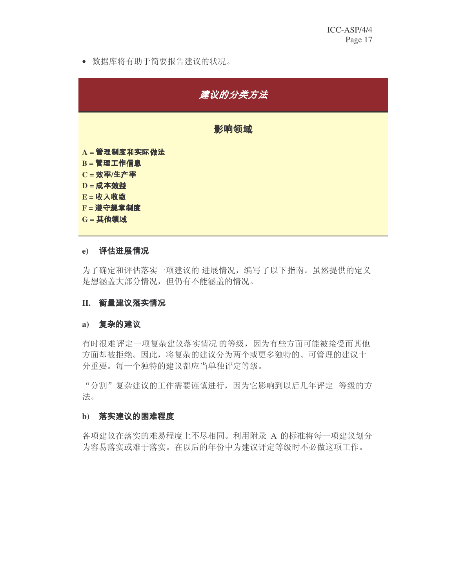• 数据库将有助于简要报告建议的状况。



## **e)**

为了确定和评估落实一项建议的 进展情况, 编写了以下指南。虽然提供的定义 是想涵盖大部分情况, 但仍有不能涵盖的情况。

## **II.**

## **a)**

有时很难评定一项复杂建议落实情况 的等级,因为有些方面可能被接受而其他 方面却被拒绝。因此, 将复杂的建议分为两个或更多独特的、可管理的建议十 分重要。每一个独特的建议都应当单独评定等级。

"分割"复杂建议的工作需要谨慎进行,因为它影响到以后几年评定 等级的方 法。

## b) 落实建议的困难程度

各项建议在落实的难易程度上不尽相同。利用附录 A 的标准将每一项建议划分 为容易落实或难于落实。在以后的年份中为建议评定等级时不必做这项工作。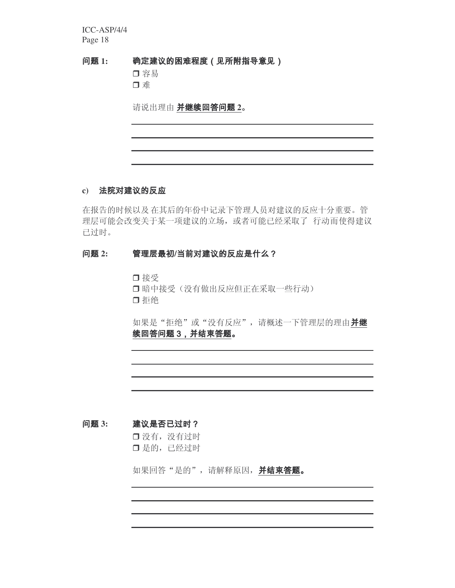**1:** 确定建议的困难程度 (见所附指导意见)

> □容易 口难

请说出理由 并继续回答问题 2。

## **c)**

在报告的时候以及在其后的年份中记录下管理人员对建议的反应十分重要。管 理层可能会改变关于某一项建议的立场, 或者可能已经采取了 行动而使得建议 已过时。

## 问题 2: 管理层最初/当前对建议的反应是什么?

□ 接受 □ 暗中接受(没有做出反应但正在采取一些行动) □拒绝

如果是"拒绝"或"没有反应", 请概述一下管理层的理由并继 续回答问题 3, 并结束答题。

#### **3:** 建议是否已过时?

□ 没有,没有过时 □ 是的,已经过时

如果回答"是的", 请解释原因, 并结束答题。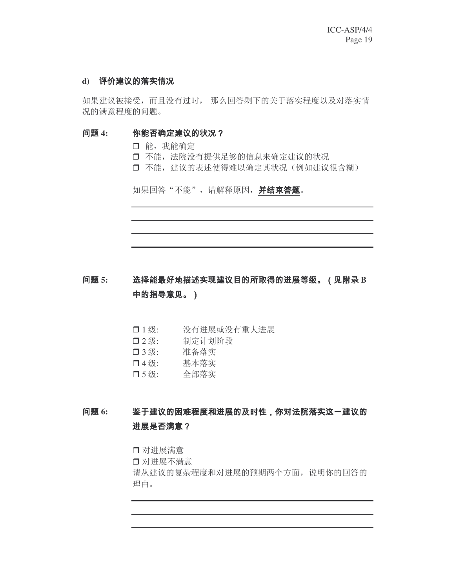## d) 评价建议的落实情况

如果建议被接受, 而且没有过时, 那么回答剩下的关于落实程度以及对落实情 况的满意程度的问题。

#### **4:** 你能否确定建议的状况?

- □ 能, 我能确定
- □ 不能, 法院没有提供足够的信息来确定建议的状况
- □ 不能, 建议的表述使得难以确定其状况(例如建议很含糊)

如果回答"不能", 请解释原因, 并结束答题。

问题 5: 选择能最好地描述实现建议目的所取得的进展等级。(见附录 B 中的指导意见。)

- $\Box$  1级: 没有进展或没有重大进展
- $\n **124**$ 制定计划阶段
- □ 3级: 3级: 准备落实
- □4级: 基本落实
- □ 5 级: 全部落实

**6:** 鉴于建议的困难程度和进展的及时性,你对法院落实这一建议的 进展是否满意?

□ 对进展满意

□ 对进展不满意

请从建议的复杂程度和对进展的预期两个方面,说明你的回答的 理由。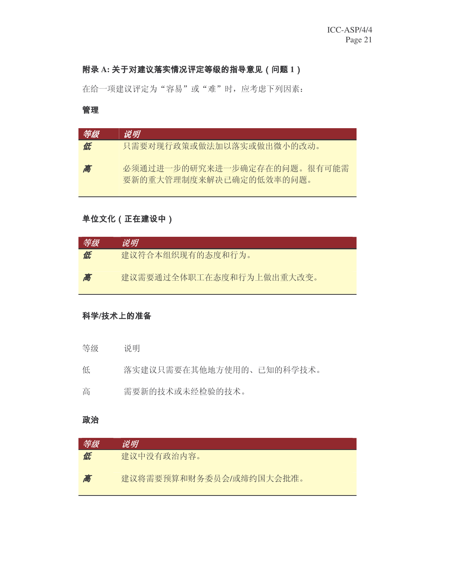## 附录 A: 关于对建议落实情况评定等级的指导意见 (问题 1)

在给一项建议评定为"容易"或"难"时,应考虑下列因素:

## 管理

| 等级 | 说明                                                     |
|----|--------------------------------------------------------|
| 低  | 只需要对现行政策或做法加以落实或做出微小的改动。                               |
| 高  | 必须通过讲一步的研究来讲一步确定存在的问题。很有可能需<br>要新的重大管理制度来解决已确定的低效率的问题。 |

## 单位文化 (正在建设中)

| 等级 | 说明                       |
|----|--------------------------|
| 低  | 建议符合本组织现有的态度和行为。         |
| 高  | 建议需要通过全体职工在态度和行为上做出重大改变。 |

## 科学/技术上的准备

- 等级 说明
- 低 落实建议只需要在其他地方使用的、已知的科学技术。
- 高了。 需要新的技术或未经检验的技术。

## 政治

| 等级 | 说明                      |
|----|-------------------------|
| 低  | 建议中没有政治内容。              |
| 高  | 建议将需要预算和财务委员会/或缔约国大会批准。 |